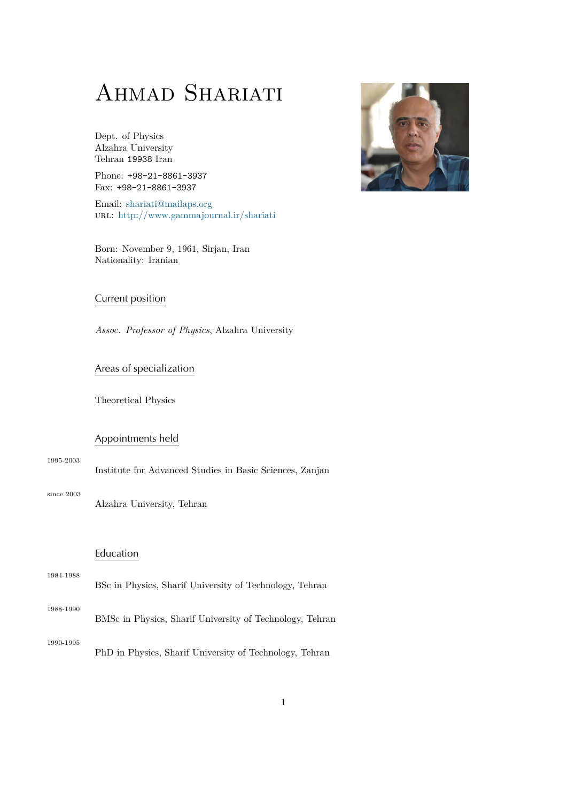# AHMAD SHARIATI

Dept. of Physics Alzahra University Tehran 19938 Iran

Phone: +98-21-8861-3937 Fax: +98-21-8861-3937

Email: shariati@mailaps.org url: http://www.gammajournal.ir/shariati

Born: [November 9, 1961, Sir](mailto:shariat@mailaps.org)jan, Iran Natio[nality: Iranian](http://www.gammajournal.ir/shariati)

## Current position

*Assoc. Professor of Physics*, Alzahra University

## Areas of specialization

Theoretical Physics

## Appointments held

1995-2003 Institute for Advanced Studies in Basic Sciences, Zanjan

since 2003 Alzahra University, Tehran

## Education

| 1984-1988 |                                                         |  |
|-----------|---------------------------------------------------------|--|
|           | BSc in Physics, Sharif University of Technology, Tehran |  |

1988-1990 BMSc in Physics, Sharif University of Technology, Tehran

1990-1995

PhD in Physics, Sharif University of Technology, Tehran

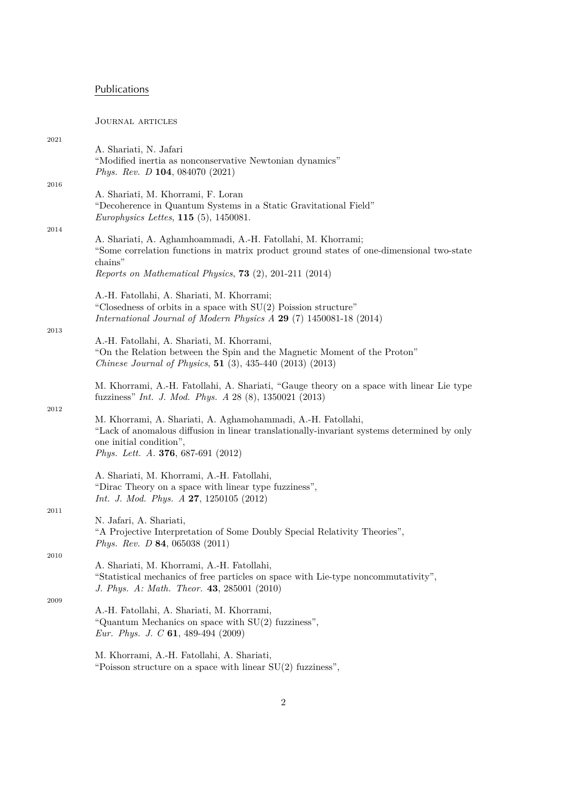# Publications

Journal articles

| 2021     | A. Shariati, N. Jafari<br>"Modified inertia as nonconservative Newtonian dynamics"<br><i>Phys. Rev. D</i> 104, 084070 $(2021)$                                                                                                              |
|----------|---------------------------------------------------------------------------------------------------------------------------------------------------------------------------------------------------------------------------------------------|
| 2016     | A. Shariati, M. Khorrami, F. Loran<br>"Decoherence in Quantum Systems in a Static Gravitational Field"<br><i>Europhysics Lettes</i> , $115$ (5), 1450081.                                                                                   |
| 2014     | A. Shariati, A. Aghamhoammadi, A.-H. Fatollahi, M. Khorrami;<br>"Some correlation functions in matrix product ground states of one-dimensional two-state<br>chains"<br>Reports on Mathematical Physics, $73$ (2), 201-211 (2014)            |
|          | A.-H. Fatollahi, A. Shariati, M. Khorrami;<br>"Closedness of orbits in a space with $SU(2)$ Poission structure"<br>International Journal of Modern Physics A 29 (7) 1450081-18 (2014)                                                       |
| 2013     | A.-H. Fatollahi, A. Shariati, M. Khorrami,<br>"On the Relation between the Spin and the Magnetic Moment of the Proton"<br>Chinese Journal of Physics, $51$ (3), 435-440 (2013) (2013)                                                       |
|          | M. Khorrami, A.-H. Fatollahi, A. Shariati, "Gauge theory on a space with linear Lie type<br>fuzziness" <i>Int. J. Mod. Phys. A</i> 28 (8), 1350021 (2013)                                                                                   |
| 2012     | M. Khorrami, A. Shariati, A. Aghamohammadi, A.-H. Fatollahi,<br>"Lack of anomalous diffusion in linear translationally-invariant systems determined by only<br>one initial condition",<br><i>Phys. Lett. A.</i> <b>376</b> , 687-691 (2012) |
|          | A. Shariati, M. Khorrami, A.-H. Fatollahi,<br>"Dirac Theory on a space with linear type fuzziness",<br><i>Int. J. Mod. Phys. A</i> 27, 1250105 $(2012)$                                                                                     |
| 2011     | N. Jafari, A. Shariati,<br>"A Projective Interpretation of Some Doubly Special Relativity Theories",<br>Phys. Rev. D 84, 065038 (2011)                                                                                                      |
| $2010\,$ | A. Shariati, M. Khorrami, A.-H. Fatollahi,<br>"Statistical mechanics of free particles on space with Lie-type noncommutativity",<br>J. Phys. A: Math. Theor. 43, 285001 (2010)                                                              |
| 2009     | A.-H. Fatollahi, A. Shariati, M. Khorrami,<br>"Quantum Mechanics on space with $SU(2)$ fuzziness",<br>Eur. Phys. J. C $61$ , 489-494 (2009)                                                                                                 |
|          | M. Khorrami, A.-H. Fatollahi, A. Shariati,<br>"Poisson structure on a space with linear $SU(2)$ fuzziness",                                                                                                                                 |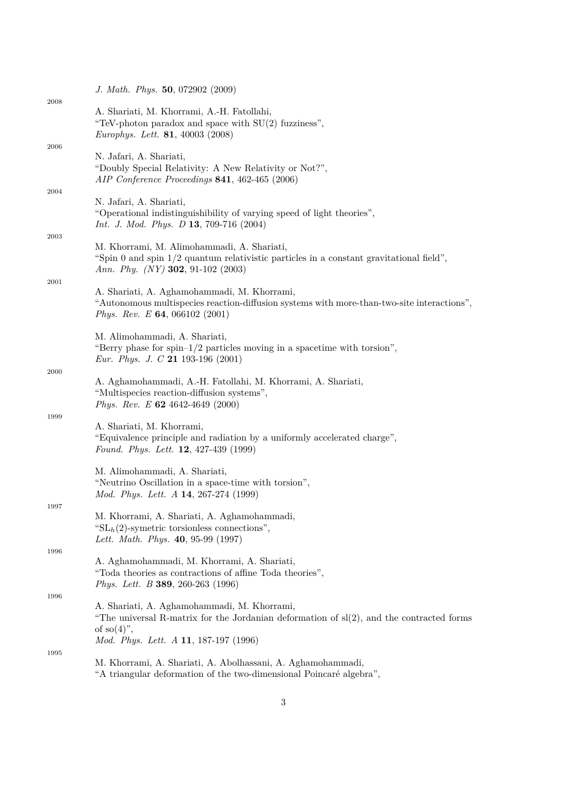|      | J. Math. Phys. 50, 072902 (2009)                                                                                                                                               |
|------|--------------------------------------------------------------------------------------------------------------------------------------------------------------------------------|
| 2008 | A. Shariati, M. Khorrami, A.-H. Fatollahi,<br>"TeV-photon paradox and space with $SU(2)$ fuzziness",<br><i>Europhys. Lett.</i> <b>81</b> , 40003 (2008)                        |
| 2006 |                                                                                                                                                                                |
|      | N. Jafari, A. Shariati,<br>"Doubly Special Relativity: A New Relativity or Not?",<br>AIP Conference Proceedings 841, 462-465 (2006)                                            |
| 2004 |                                                                                                                                                                                |
|      | N. Jafari, A. Shariati,<br>"Operational indistinguishibility of varying speed of light theories",<br>Int. J. Mod. Phys. D 13, 709-716 (2004)                                   |
| 2003 | M. Khorrami, M. Alimohammadi, A. Shariati,<br>"Spin 0 and spin $1/2$ quantum relativistic particles in a constant gravitational field",<br>Ann. Phy. $(NY)$ 302, 91-102 (2003) |
| 2001 | A. Shariati, A. Aghamohammadi, M. Khorrami,<br>"Autonomous multispecies reaction-diffusion systems with more-than-two-site interactions",                                      |
|      | <i>Phys. Rev. E</i> <b>64</b> , 066102 (2001)                                                                                                                                  |
|      | M. Alimohammadi, A. Shariati,<br>"Berry phase for spin- $1/2$ particles moving in a spacetime with torsion",<br><i>Eur. Phys. J. C</i> 21 193-196 (2001)                       |
| 2000 |                                                                                                                                                                                |
|      | A. Aghamohammadi, A.-H. Fatollahi, M. Khorrami, A. Shariati,<br>"Multispecies reaction-diffusion systems",<br>Phys. Rev. E $62$ 4642-4649 (2000)                               |
| 1999 | A. Shariati, M. Khorrami,<br>"Equivalence principle and radiation by a uniformly accelerated charge",<br>Found. Phys. Lett. 12, 427-439 (1999)                                 |
|      | M. Alimohammadi, A. Shariati,<br>"Neutrino Oscillation in a space-time with torsion",<br>Mod. Phys. Lett. A 14, 267-274 (1999)                                                 |
| 1997 | M. Khorrami, A. Shariati, A. Aghamohammadi,<br>" $SLh(2)$ -symetric torsionless connections",<br>Lett. Math. Phys. 40, 95-99 (1997)                                            |
| 1996 |                                                                                                                                                                                |
|      | A. Aghamohammadi, M. Khorrami, A. Shariati,<br>"Toda theories as contractions of affine Toda theories",<br><i>Phys. Lett. B</i> 389, 260-263 (1996)                            |
| 1996 |                                                                                                                                                                                |
|      | A. Shariati, A. Aghamohammadi, M. Khorrami,<br>"The universal R-matrix for the Jordanian deformation of $sl(2)$ , and the contracted forms<br>of so $(4)$ ",                   |
|      | <i>Mod. Phys. Lett. A</i> 11, 187-197 (1996)                                                                                                                                   |
| 1995 |                                                                                                                                                                                |
|      | M. Khorrami, A. Shariati, A. Abolhassani, A. Aghamohammadi,<br>"A triangular deformation of the two-dimensional Poincaré algebra",                                             |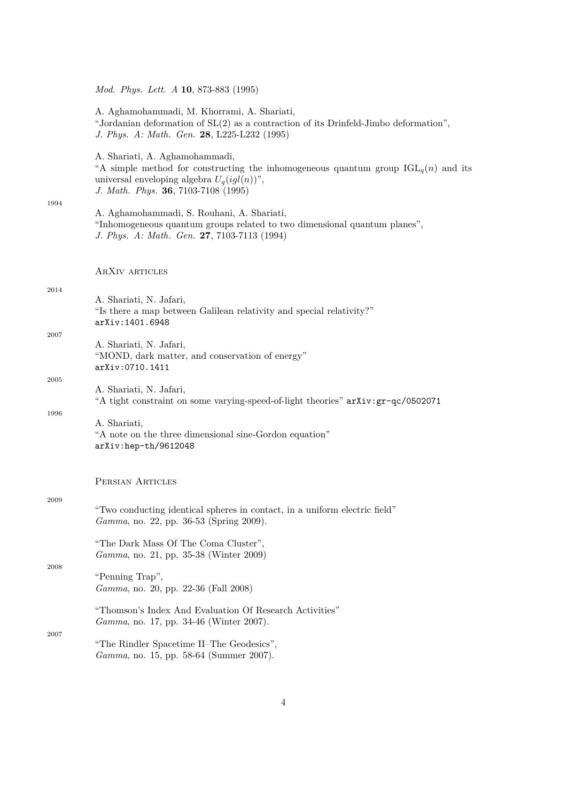*Mod. Phys. Lett. A* **10**, 873-883 (1995)

|      | A. Aghamohammadi, M. Khorrami, A. Shariati,<br>"Jordanian deformation of $SL(2)$ as a contraction of its Drinfeld-Jimbo deformation",<br>J. Phys. A: Math. Gen. 28, L225-L232 (1995)                           |
|------|----------------------------------------------------------------------------------------------------------------------------------------------------------------------------------------------------------------|
| 1994 | A. Shariati, A. Aghamohammadi,<br>"A simple method for constructing the inhomogeneous quantum group $IGL_q(n)$ and its<br>universal enveloping algebra $U_q(igl(n))$ ",<br>J. Math. Phys. 36, 7103-7108 (1995) |
|      | A. Aghamohammadi, S. Rouhani, A. Shariati,<br>"Inhomogeneous quantum groups related to two dimensional quantum planes",<br>J. Phys. A: Math. Gen. 27, 7103-7113 (1994)                                         |
|      | ARXIV ARTICLES                                                                                                                                                                                                 |
| 2014 | A. Shariati, N. Jafari,<br>"Is there a map between Galilean relativity and special relativity?"<br>arXiv:1401.6948                                                                                             |
| 2007 | A. Shariati, N. Jafari,<br>"MOND, dark matter, and conservation of energy"<br>arXiv: 0710.1411                                                                                                                 |
| 2005 | A. Shariati, N. Jafari,<br>"A tight constraint on some varying-speed-of-light theories" arXiv: gr-qc/0502071                                                                                                   |
| 1996 | A. Shariati,<br>"A note on the three dimensional sine-Gordon equation"<br>arXiv:hep-th/9612048                                                                                                                 |
|      | PERSIAN ARTICLES                                                                                                                                                                                               |
| 2009 | "Two conducting identical spheres in contact, in a uniform electric field"<br>Gamma, no. 22, pp. 36-53 (Spring 2009).                                                                                          |
| 2008 | "The Dark Mass Of The Coma Cluster",<br>Gamma, no. 21, pp. 35-38 (Winter 2009)                                                                                                                                 |
|      | "Penning Trap",<br>Gamma, no. 20, pp. 22-36 (Fall 2008)                                                                                                                                                        |
| 2007 | "Thomson's Index And Evaluation Of Research Activities"<br><i>Gamma</i> , no. 17, pp. 34-46 (Winter 2007).                                                                                                     |
|      | "The Rindler Spacetime II-The Geodesics",<br>Gamma, no. 15, pp. 58-64 (Summer 2007).                                                                                                                           |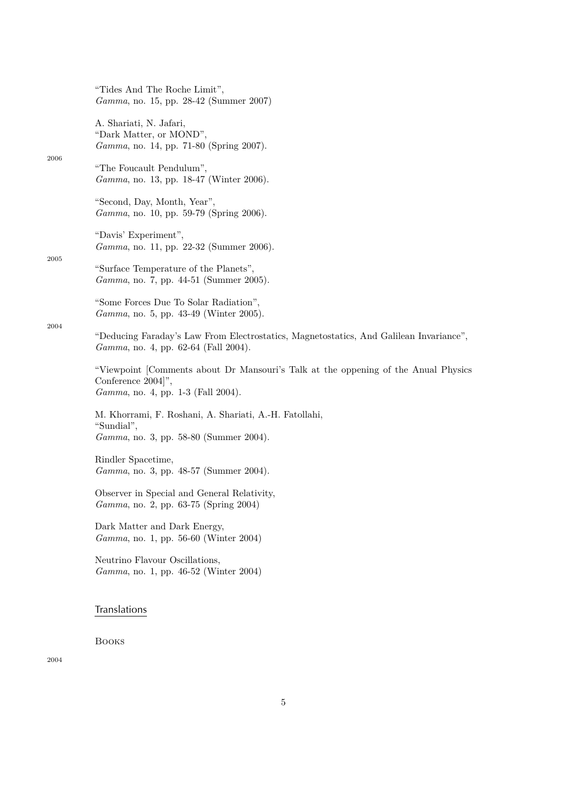"Tides And The Roche Limit", *Gamma*, no. 15, pp. 28-42 (Summer 2007)

A. Shariati, N. Jafari, "Dark Matter, or MOND", *Gamma*, no. 14, pp. 71-80 (Spring 2007).

"The Foucault Pendulum", *Gamma*, no. 13, pp. 18-47 (Winter 2006).

"Second, Day, Month, Year", *Gamma*, no. 10, pp. 59-79 (Spring 2006).

"Davis' Experiment", *Gamma*, no. 11, pp. 22-32 (Summer 2006).

2005

2004

2006

"Surface Temperature of the Planets", *Gamma*, no. 7, pp. 44-51 (Summer 2005).

"Some Forces Due To Solar Radiation", *Gamma*, no. 5, pp. 43-49 (Winter 2005).

"Deducing Faraday's Law From Electrostatics, Magnetostatics, And Galilean Invariance", *Gamma*, no. 4, pp. 62-64 (Fall 2004).

"Viewpoint [Comments about Dr Mansouri's Talk at the oppening of the Anual Physics Conference 2004]", *Gamma*, no. 4, pp. 1-3 (Fall 2004).

M. Khorrami, F. Roshani, A. Shariati, A.-H. Fatollahi, "Sundial", *Gamma*, no. 3, pp. 58-80 (Summer 2004).

Rindler Spacetime, *Gamma*, no. 3, pp. 48-57 (Summer 2004).

Observer in Special and General Relativity, *Gamma*, no. 2, pp. 63-75 (Spring 2004)

Dark Matter and Dark Energy, *Gamma*, no. 1, pp. 56-60 (Winter 2004)

Neutrino Flavour Oscillations, *Gamma*, no. 1, pp. 46-52 (Winter 2004)

## Translations

Books

2004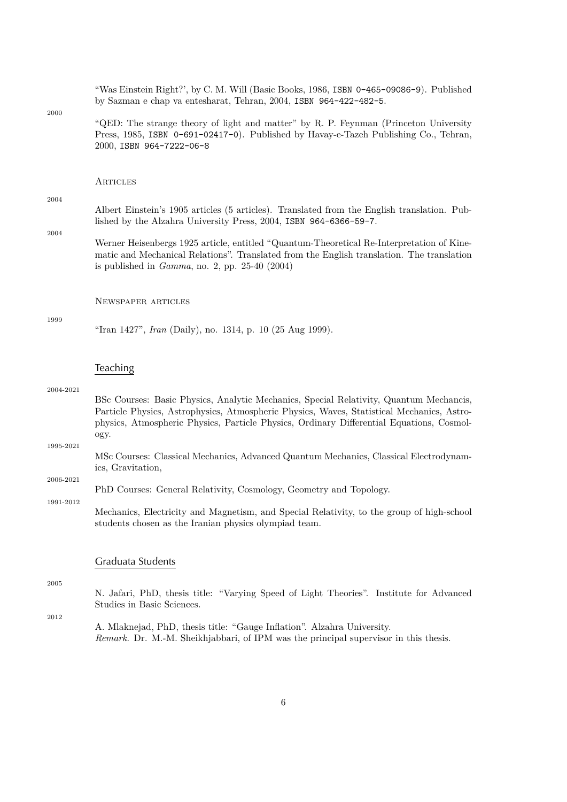"Was Einstein Right?', by C. M. Will (Basic Books, 1986, ISBN 0-465-09086-9). Published by Sazman e chap va entesharat, Tehran, 2004, ISBN 964-422-482-5.

2000

"QED: The strange theory of light and matter" by R. P. Feynman (Princeton University Press, 1985, ISBN 0-691-02417-0). Published by Havay-e-Tazeh Publishing Co., Tehran, 2000, ISBN 964-7222-06-8

**ARTICLES** 

#### 2004

Albert Einstein's 1905 articles (5 articles). Translated from the English translation. Published by the Alzahra University Press, 2004, ISBN 964-6366-59-7.

2004

1999

Werner Heisenbergs 1925 article, entitled "Quantum-Theoretical Re-Interpretation of Kinematic and Mechanical Relations". Translated from the English translation. The translation is published in *Gamma*, no. 2, pp. 25-40 (2004)

Newspaper articles

"Iran 1427", *Iran* (Daily), no. 1314, p. 10 (25 Aug 1999).

### **Teaching**

#### 2004-2021

BSc Courses: Basic Physics, Analytic Mechanics, Special Relativity, Quantum Mechancis, Particle Physics, Astrophysics, Atmospheric Physics, Waves, Statistical Mechanics, Astrophysics, Atmospheric Physics, Particle Physics, Ordinary Differential Equations, Cosmology.

MSc Courses: Classical Mechanics, Advanced Quantum Mechanics, Classical Electrodynamics, Gravitation,

#### 2006-2021

1995-2021

1991-2012

Mechanics, Electricity and Magnetism, and Special Relativity, to the group of high-school students chosen as the Iranian physics olympiad team.

## Graduata Students

2005

N. Jafari, PhD, thesis title: "Varying Speed of Light Theories". Institute for Advanced Studies in Basic Sciences.

2012

A. Mlaknejad, PhD, thesis title: "Gauge Inflation". Alzahra University. *Remark.* Dr. M.-M. Sheikhjabbari, of IPM was the principal supervisor in this thesis.

PhD Courses: General Relativity, Cosmology, Geometry and Topology.